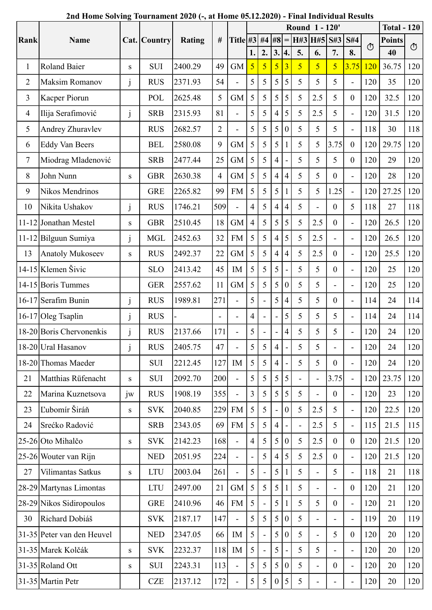|                |                            |    |              |         |                |                                                         |                |                          |                  |                          | 2nd Home Solving Tournament 2020 (-, at Home 05.12.2020) - Final Individual Results<br>Round 1 - 120' |                          |                          |                          |            | <b>Total - 120</b> |         |
|----------------|----------------------------|----|--------------|---------|----------------|---------------------------------------------------------|----------------|--------------------------|------------------|--------------------------|-------------------------------------------------------------------------------------------------------|--------------------------|--------------------------|--------------------------|------------|--------------------|---------|
| Rank           | Name                       |    | Cat. Country | Rating  | #              | $\text{Title}$ #3   #4   #8   =   H#3   H#5   S#3   S#4 |                |                          |                  |                          |                                                                                                       |                          |                          |                          |            | <b>Points</b>      |         |
|                |                            |    |              |         |                |                                                         |                | 2.                       | $\vert 3.$       | 4.                       | 5.                                                                                                    | 6.                       | 7.                       | 8.                       | $\circ$    | 40                 | $\circ$ |
| -1             | Roland Baier               | S  | <b>SUI</b>   | 2400.29 | 49             | GM                                                      | 5              | $\boxed{5}$              | $\overline{5}$   | $\overline{3}$           | $\sqrt{5}$                                                                                            | 5 <sup>5</sup>           | $\sqrt{5}$               | $3.75$                   | <b>120</b> | 36.75              | 120     |
| $\overline{2}$ | Maksim Romanov             |    | <b>RUS</b>   | 2371.93 | 54             | $\overline{\phantom{a}}$                                | 5 <sup>1</sup> | $\overline{5}$           | $\overline{5}$   | $5\overline{)}$          | 5                                                                                                     | 5 <sup>5</sup>           | 5 <sup>5</sup>           |                          | 120        | 35                 | 120     |
| $\mathfrak{Z}$ | Kacper Piorun              |    | POL          | 2625.48 | 5 <sup>5</sup> | GM                                                      | $5 \mid$       | 5                        | 5                | 5 <sup>1</sup>           | 5                                                                                                     | 2.5                      | $5\overline{)}$          | $\overline{0}$           | 120        | 32.5               | 120     |
| $\overline{4}$ | Ilija Serafimović          |    | <b>SRB</b>   | 2315.93 | 81             | $\blacksquare$                                          | 5              | 5                        | $\overline{4}$   | $\overline{5}$           | 5                                                                                                     | 2.5                      | 5 <sup>5</sup>           |                          | 120        | 31.5               | 120     |
| 5              | Andrey Zhuravlev           |    | <b>RUS</b>   | 2682.57 | $\overline{2}$ | $\blacksquare$                                          | 5 <sup>1</sup> | 5                        | 5                | $\vert 0 \vert$          | 5                                                                                                     | 5 <sup>5</sup>           | 5 <sup>5</sup>           | $\blacksquare$           | 118        | 30                 | 118     |
| 6              | <b>Eddy Van Beers</b>      |    | <b>BEL</b>   | 2580.08 | 9              | GM                                                      | 5              | 5                        | 5                |                          | 5                                                                                                     | $5\overline{)}$          | 3.75                     | $\overline{0}$           | 120        | 29.75              | 120     |
| 7              | Miodrag Mladenović         |    | <b>SRB</b>   | 2477.44 | 25             | GM $5 \mid 5 \mid$                                      |                |                          | $\overline{4}$   |                          | 5                                                                                                     | 5                        | $5\overline{)}$          | $\overline{0}$           | 120        | 29                 | 120     |
| 8              | John Nunn                  | S  | <b>GBR</b>   | 2630.38 | $\overline{4}$ | GM                                                      | 5              | 5                        | 4                | $\overline{4}$           | 5                                                                                                     | $5\overline{)}$          | $\overline{0}$           |                          | 120        | 28                 | 120     |
| 9              | Nikos Mendrinos            |    | <b>GRE</b>   | 2265.82 | 99             | FM                                                      | 5              | 5                        | $5\overline{)}$  |                          | 5                                                                                                     | $5\overline{)}$          | .25                      |                          | 120        | 27.25              | 120     |
| 10             | Nikita Ushakov             |    | <b>RUS</b>   | 1746.21 | 509            | $\overline{\phantom{a}}$                                | $\overline{4}$ | 5                        | 4                | $\overline{4}$           | 5                                                                                                     |                          | $\overline{0}$           | 5 <sup>5</sup>           | 118        | 27                 | 118     |
|                | 11-12 Jonathan Mestel      | S  | <b>GBR</b>   | 2510.45 | 18             | $\mbox{GM}$                                             | $\overline{4}$ | 5                        | 5                | 5                        | 5                                                                                                     | 2.5                      | $\overline{0}$           |                          | 120        | 26.5               | 120     |
|                | 11-12 Bilguun Sumiya       |    | <b>MGL</b>   | 2452.63 | 32             | FM                                                      | 5              | 5                        | $\overline{4}$   | $\overline{5}$           | 5                                                                                                     | 2.5                      |                          |                          | 120        | 26.5               | 120     |
| 13             | <b>Anatoly Mukoseev</b>    | S  | <b>RUS</b>   | 2492.37 | 22             | GM                                                      | 5              | 5                        | 4                | $\overline{4}$           | 5                                                                                                     | 2.5                      | $\overline{0}$           |                          | 120        | 25.5               | 120     |
|                | $14-15$ Klemen Šivic       |    | <b>SLO</b>   | 2413.42 | 45             | IM                                                      | 5              | 5                        | 5                |                          | 5                                                                                                     | $5\overline{)}$          | $\overline{0}$           |                          | 120        | 25                 | 120     |
|                | $14-15$ Boris Tummes       |    | <b>GER</b>   | 2557.62 | 11             | $\mbox{GM}$                                             | 5              | 5                        | 5                | $\boldsymbol{0}$         | 5                                                                                                     | $5\overline{)}$          |                          |                          | 120        | 25                 | 120     |
|                | $16-17$ Serafim Bunin      |    | <b>RUS</b>   | 1989.81 | 271            | $\blacksquare$                                          | 5              |                          | 5                | $\overline{4}$           | 5                                                                                                     | 5                        | $\overline{0}$           |                          | 114        | 24                 | 114     |
|                | $16-17$ Oleg Tsaplin       |    | <b>RUS</b>   |         | $\blacksquare$ | $\blacksquare$                                          | $\overline{4}$ |                          |                  | $\mathfrak{S}$           | 5                                                                                                     | $5\overline{)}$          | $5\overline{)}$          |                          | 114        | 24                 | 114     |
|                | 18-20 Boris Chervonenkis   |    | <b>RUS</b>   | 2137.66 | 171            | $\blacksquare$                                          | 5              |                          |                  | $\overline{\mathcal{L}}$ | 5                                                                                                     | 5 <sup>5</sup>           | 5 <sup>5</sup>           |                          | 120        | 24                 | 120     |
|                | 18-20 Ural Hasanov         |    | <b>RUS</b>   | 2405.75 | 47             | $\blacksquare$                                          | 5              | 5                        | $\overline{4}$   |                          | 5                                                                                                     | 5                        |                          |                          | 120        | 24                 | 120     |
|                | 18-20 Thomas Maeder        |    | <b>SUI</b>   | 2212.45 | 127            | IM                                                      | 5              | 5                        | 4                |                          | 5                                                                                                     | $5\overline{)}$          | $\overline{0}$           |                          | 120        | 24                 | 120     |
| 21             | Matthias Rüfenacht         | S  | <b>SUI</b>   | 2092.70 | 200            | $\blacksquare$                                          | 5              | 5                        | 5                | $\mathfrak{H}$           |                                                                                                       |                          | 3.75                     |                          | 120        | 23.75              | 120     |
| 22             | Marina Kuznetsova          | iw | <b>RUS</b>   | 1908.19 | 355            | $\blacksquare$                                          | 3 <sup>7</sup> | $\mathfrak{S}$           | 5                | $\mathfrak{H}$           | 5                                                                                                     | $\blacksquare$           | $\overline{0}$           |                          | 120        | 23                 | 120     |
| 23             | Ľubomír Širáň              | S  | <b>SVK</b>   | 2040.85 | 229            | <b>FM</b>                                               | 5              | 5                        |                  | $\theta$                 | 5                                                                                                     | 2.5                      | $5\overline{)}$          |                          | 120        | 22.5               | 120     |
| 24             | Srećko Radović             |    | <b>SRB</b>   | 2343.05 | 69             | FM                                                      | 5              | 5                        | $\overline{4}$   |                          |                                                                                                       | 2.5                      | 5                        |                          | 115        | 21.5               | 115     |
|                | 25-26 Oto Mihalčo          | S  | <b>SVK</b>   | 2142.23 | 168            | $\blacksquare$                                          | $\overline{4}$ | 5                        | 5                | $\mathbf{0}$             | 5                                                                                                     | 2.5                      | $\overline{0}$           | $\overline{0}$           | 120        | 21.5               | 120     |
|                | 25-26 Wouter van Rijn      |    | <b>NED</b>   | 2051.95 | 224            | $\blacksquare$                                          |                | 5                        | $\overline{4}$   | 5                        | 5                                                                                                     | 2.5                      | $\overline{0}$           |                          | 120        | 21.5               | 120     |
| 27             | Vilimantas Satkus          | S  | <b>LTU</b>   | 2003.04 | 261            | $\blacksquare$                                          | 5              |                          | 5                |                          | 5                                                                                                     |                          | 5 <sup>5</sup>           | $\overline{\phantom{a}}$ | 118        | 21                 | 118     |
|                | 28-29 Martynas Limontas    |    | <b>LTU</b>   | 2497.00 | 21             | $GM \mid 5 \mid$                                        |                | 5                        | 5                |                          | 5                                                                                                     |                          |                          | $\overline{0}$           | 120        | 21                 | 120     |
|                |                            |    | <b>GRE</b>   |         | 46             | $FM \mid 5$                                             |                |                          | $5\overline{)}$  |                          | $5\overline{)}$                                                                                       | 5 <sup>5</sup>           | $\overline{0}$           |                          | 120        | 21                 | 120     |
|                | 28-29 Nikos Sidiropoulos   |    |              | 2410.96 |                |                                                         |                | $\blacksquare$           |                  |                          |                                                                                                       |                          |                          | $\blacksquare$           |            |                    |         |
| 30             | Richard Dobiáš             |    | <b>SVK</b>   | 2187.17 | 147            | $\mathcal{L}_{\mathcal{A}}$                             | $\mathfrak{S}$ | 5                        | $\mathfrak{S}$   | 0                        | $\overline{5}$                                                                                        | $\overline{\phantom{a}}$ | $\overline{\phantom{a}}$ | $\overline{\phantom{a}}$ | 119        | 20                 | 119     |
|                | 31-35 Peter van den Heuvel |    | <b>NED</b>   | 2347.05 | 66             | IM                                                      | 5 <sup>1</sup> | $\overline{\phantom{a}}$ | 5                | $\vert 0 \vert$          | $\mathfrak{S}$                                                                                        |                          | 5 <sup>5</sup>           | $\overline{0}$           | 120        | 20                 | 120     |
|                | 31-35 Marek Kolčák         | S  | <b>SVK</b>   | 2232.37 | 118            | IM                                                      | $5 \mid$       |                          | $\mathfrak{S}$   |                          | 5                                                                                                     | 5                        | $\overline{\phantom{0}}$ |                          | 120        | 20                 | 120     |
|                | $31-35$ Roland Ott         | S  | SUI          | 2243.31 | 113            | $\blacksquare$                                          | 5              | $\overline{5}$           | $\mathfrak{S}$   | $\overline{0}$           | $\mathfrak{S}$                                                                                        | $\overline{\phantom{a}}$ | $\overline{0}$           |                          | 120        | 20                 | 120     |
|                | 31-35 Martin Petr          |    | CZE          | 2137.12 | 172            | $\blacksquare$                                          | 5              | $5\overline{)}$          | $\boldsymbol{0}$ | 5 <sub>l</sub>           | $5\overline{)}$                                                                                       | $\overline{\phantom{a}}$ |                          |                          | 120        | 20                 | 120     |

## 2nd Home Solving Tournament 2020 (-, at Home 05.12.2020) - Final Individual Results